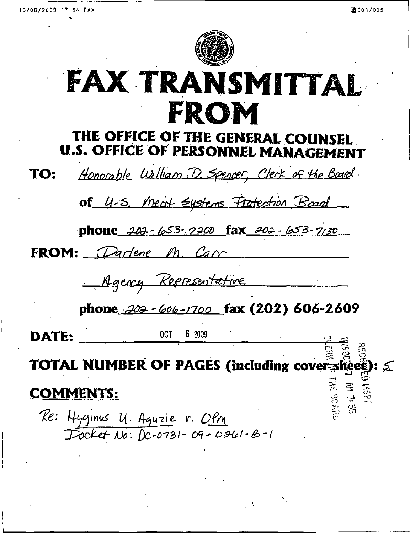$\Xi$ 

ت

eg 50  $\mathbb{C}$   $\tilde{\mathbb{C}}$ 1 = \*

 $\frac{1}{2}$ 



# FAX TRANSMITTAL FROM

## THE OFFICE OF THE GENERAL COUNSEL U.S. OFFICE OF PERSONNEL MANAGEMENT

Honorable William D. Spencer, Clerk of the Board TO:

of 4-5. Meat Systems Protection Board

phone 202-653-7200 fax 202-653-7130

FROM: Parlene M. Carr

Agency Representative

phone 202 - 606 -1700 fax (202) 606-2609

DATE:  $OCT - 6$  2009

TOTAL NUMBER OF PAGES (including cov  $\Xi$   $\Xi$ <u>ន</u> ?

## COMMENTS:

Re: Hyginus U. Aguzie v. OPM<br>Docket No: DC-0731-09-0261-B-1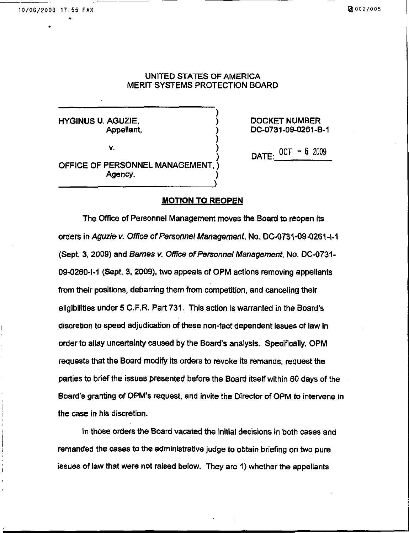### UNITED STATES OF AMERICA MERIT SYSTEMS PROTECTION BOARD

)

HYGINUS U. AGUZIE, ) DOCKET NUMBER

 $\mathbf{V}$ 

Appellant, ) DC-0731-09-0261-B-1

OFFICE OF PERSONNEL MANAGEMENT. Agency.

 $\overline{O}$  ) DATE:  $\overline{O}$  of  $\overline{O}$ 

#### MOTION TO REOPEN

The Office of Personnel Management moves the Board to reopen its orders in Aguzie v. Office of Personnel Management, No. DC-0731 -09-0261 -1-1 (Sept. 3, 2009) and Barnes v. Office of Personnel Management, No. DC-0731-09-0260-1-1 (Sept. 3, 2009), two appeals of OPM actions removing appellants from their positions, debarring them from competition, and canceling their eligibilities under 5 C.F.R. Part 731. This action is warranted in the Board's discretion to speed adjudication of these non-fact dependent issues of law in order to allay uncertainty caused by the Board's analysis. Specifically, OPM requests that the Board modify its orders to revoke its remands, request the parties to brief the issues presented before the Board itself within 60 days of the Board's granting of OPM's request, and invite the Director of OPM to intervene in the case in his discretion.

In those orders the Board vacated the initial decisions in both cases and remanded the cases to the administrative judge to obtain briefing on two pure issues of law that were not raised below. They are 1) whether the appellants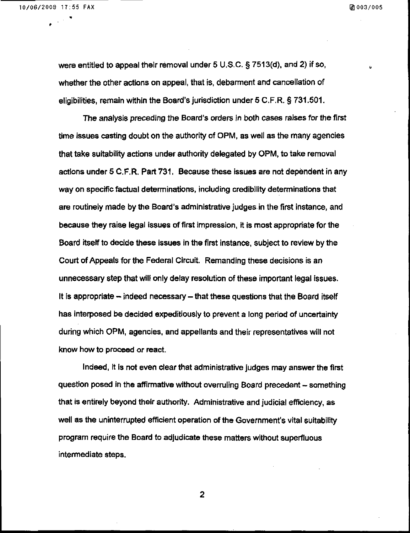$\mathbf{z}$  and  $\mathbf{z}$ 

were entitled to appeal their removal under 5 U.S.C. § 7513(d). and 2) if so, whether the other actions on appeal, that is, debarment and cancellation of eligibilities, remain within the Board's jurisdiction under 5 C.F.R. § 731.501

The analysis preceding the Board's orders in both cases raises for the first time issues casting doubt on the authority of OPM, as well as the many agencies that take suitability actions under authority delegated by OPM, to take removal actions under 5 C.F.R. Part 731. Because these issues are not dependent in any way on specific factual determinations, including credibility determinations that are routinely made by the Board's administrative judges in the first instance, and because they raise legal issues of first impression, it is most appropriate for the Board itself to decide these issues in the first instance, subject to review by the Court of Appeals for the Federal Circuit. Remanding these decisions is an unnecessary step that will only delay resolution of these important legal issues. It is appropriate  $-$  indeed necessary  $-$  that these questions that the Board itself has interposed be decided expeditiously to prevent a long period of uncertainty during which OPM, agencies, and appellants and their representatives will not know how to proceed or react.

Indeed, it is not even clear that administrative judges may answer the first question posed in the affirmative without overruling Board precedent - something that is entirely beyond their authority. Administrative and judicial efficiency, as well as the uninterrupted efficient operation of the Government's vital suitability program require the Board to adjudicate these matters without superfluous intermediate steps.

 $\overline{2}$